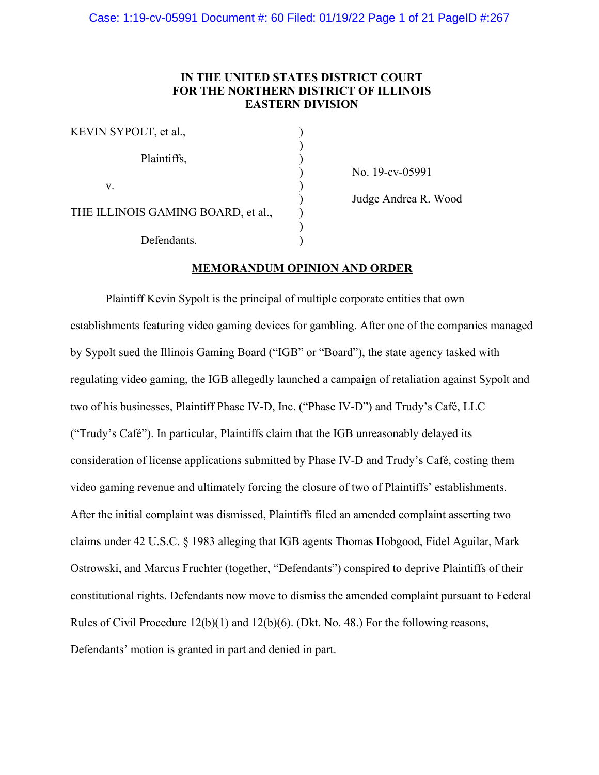# **IN THE UNITED STATES DISTRICT COURT FOR THE NORTHERN DISTRICT OF ILLINOIS EASTERN DIVISION**

| KEVIN SYPOLT, et al.,              |  |
|------------------------------------|--|
| Plaintiffs,                        |  |
| V.                                 |  |
| THE ILLINOIS GAMING BOARD, et al., |  |
| Defendants.                        |  |

) No. 19-cv-05991

) Judge Andrea R. Wood

# **MEMORANDUM OPINION AND ORDER**

Plaintiff Kevin Sypolt is the principal of multiple corporate entities that own establishments featuring video gaming devices for gambling. After one of the companies managed by Sypolt sued the Illinois Gaming Board ("IGB" or "Board"), the state agency tasked with regulating video gaming, the IGB allegedly launched a campaign of retaliation against Sypolt and two of his businesses, Plaintiff Phase IV-D, Inc. ("Phase IV-D") and Trudy's Café, LLC ("Trudy's Café"). In particular, Plaintiffs claim that the IGB unreasonably delayed its consideration of license applications submitted by Phase IV-D and Trudy's Café, costing them video gaming revenue and ultimately forcing the closure of two of Plaintiffs' establishments. After the initial complaint was dismissed, Plaintiffs filed an amended complaint asserting two claims under 42 U.S.C. § 1983 alleging that IGB agents Thomas Hobgood, Fidel Aguilar, Mark Ostrowski, and Marcus Fruchter (together, "Defendants") conspired to deprive Plaintiffs of their constitutional rights. Defendants now move to dismiss the amended complaint pursuant to Federal Rules of Civil Procedure 12(b)(1) and 12(b)(6). (Dkt. No. 48.) For the following reasons, Defendants' motion is granted in part and denied in part.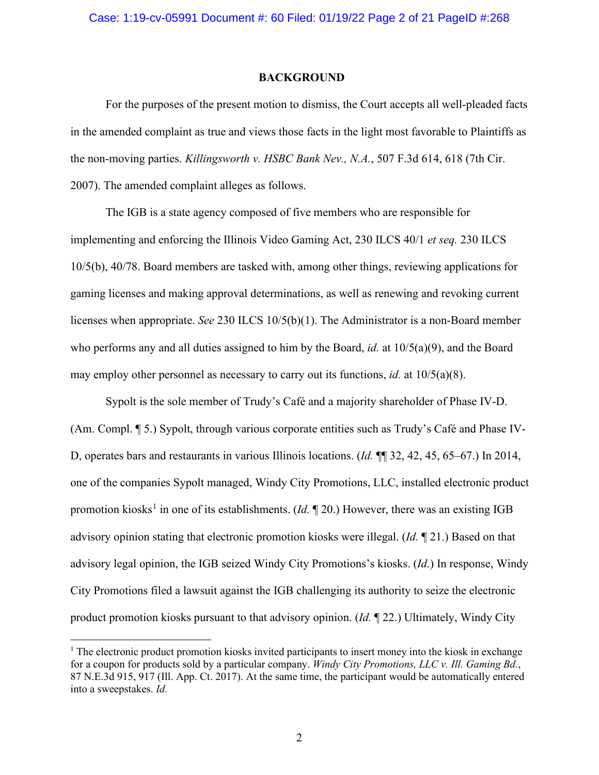#### Case: 1:19-cv-05991 Document #: 60 Filed: 01/19/22 Page 2 of 21 PageID #:268

#### **BACKGROUND**

For the purposes of the present motion to dismiss, the Court accepts all well-pleaded facts in the amended complaint as true and views those facts in the light most favorable to Plaintiffs as the non-moving parties. *Killingsworth v. HSBC Bank Nev., N.A.*, 507 F.3d 614, 618 (7th Cir. 2007). The amended complaint alleges as follows.

The IGB is a state agency composed of five members who are responsible for implementing and enforcing the Illinois Video Gaming Act, 230 ILCS 40/1 *et seq.* 230 ILCS 10/5(b), 40/78. Board members are tasked with, among other things, reviewing applications for gaming licenses and making approval determinations, as well as renewing and revoking current licenses when appropriate. *See* 230 ILCS 10/5(b)(1). The Administrator is a non-Board member who performs any and all duties assigned to him by the Board, *id.* at 10/5(a)(9), and the Board may employ other personnel as necessary to carry out its functions, *id.* at  $10/5(a)(8)$ .

Sypolt is the sole member of Trudy's Café and a majority shareholder of Phase IV-D. (Am. Compl. ¶ 5.) Sypolt, through various corporate entities such as Trudy's Café and Phase IV-D, operates bars and restaurants in various Illinois locations. (*Id.* ¶¶ 32, 42, 45, 65–67.) In 2014, one of the companies Sypolt managed, Windy City Promotions, LLC, installed electronic product promotion kiosks<sup>[1](#page-1-0)</sup> in one of its establishments. (*Id.*  $\mathbb{I}$  20.) However, there was an existing IGB advisory opinion stating that electronic promotion kiosks were illegal. (*Id.* ¶ 21.) Based on that advisory legal opinion, the IGB seized Windy City Promotions's kiosks. (*Id.*) In response, Windy City Promotions filed a lawsuit against the IGB challenging its authority to seize the electronic product promotion kiosks pursuant to that advisory opinion. (*Id.* ¶ 22.) Ultimately, Windy City

<span id="page-1-0"></span> $<sup>1</sup>$  The electronic product promotion kiosks invited participants to insert money into the kiosk in exchange</sup> for a coupon for products sold by a particular company. *Windy City Promotions, LLC v. Ill. Gaming Bd.*, 87 N.E.3d 915, 917 (Ill. App. Ct. 2017). At the same time, the participant would be automatically entered into a sweepstakes. *Id.*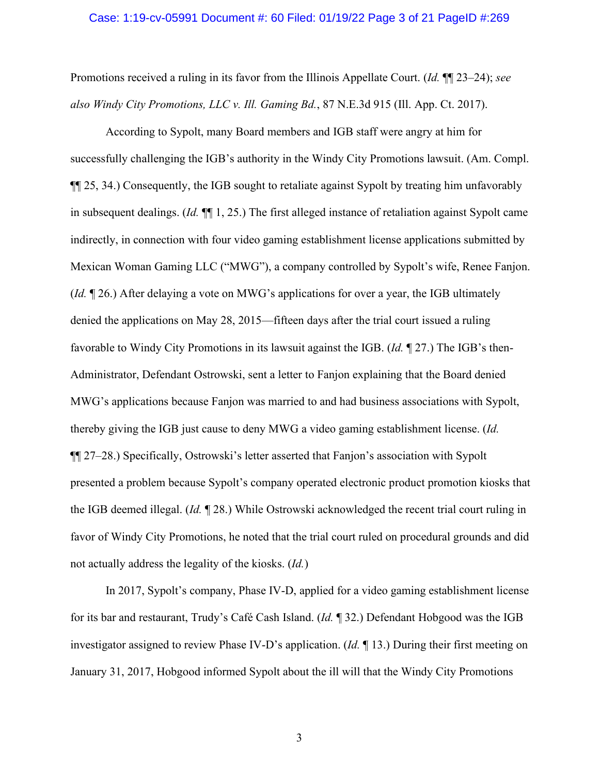#### Case: 1:19-cv-05991 Document #: 60 Filed: 01/19/22 Page 3 of 21 PageID #:269

Promotions received a ruling in its favor from the Illinois Appellate Court. (*Id.* ¶¶ 23–24); *see also Windy City Promotions, LLC v. Ill. Gaming Bd.*, 87 N.E.3d 915 (Ill. App. Ct. 2017).

According to Sypolt, many Board members and IGB staff were angry at him for successfully challenging the IGB's authority in the Windy City Promotions lawsuit. (Am. Compl. ¶¶ 25, 34.) Consequently, the IGB sought to retaliate against Sypolt by treating him unfavorably in subsequent dealings. (*Id.* ¶¶ 1, 25.) The first alleged instance of retaliation against Sypolt came indirectly, in connection with four video gaming establishment license applications submitted by Mexican Woman Gaming LLC ("MWG"), a company controlled by Sypolt's wife, Renee Fanjon. (*Id.* ¶ 26.) After delaying a vote on MWG's applications for over a year, the IGB ultimately denied the applications on May 28, 2015—fifteen days after the trial court issued a ruling favorable to Windy City Promotions in its lawsuit against the IGB. (*Id.* ¶ 27.) The IGB's then-Administrator, Defendant Ostrowski, sent a letter to Fanjon explaining that the Board denied MWG's applications because Fanjon was married to and had business associations with Sypolt, thereby giving the IGB just cause to deny MWG a video gaming establishment license. (*Id.* ¶¶ 27–28.) Specifically, Ostrowski's letter asserted that Fanjon's association with Sypolt presented a problem because Sypolt's company operated electronic product promotion kiosks that the IGB deemed illegal. (*Id.* ¶ 28.) While Ostrowski acknowledged the recent trial court ruling in favor of Windy City Promotions, he noted that the trial court ruled on procedural grounds and did not actually address the legality of the kiosks. (*Id.*)

In 2017, Sypolt's company, Phase IV-D, applied for a video gaming establishment license for its bar and restaurant, Trudy's Café Cash Island. (*Id.* ¶ 32.) Defendant Hobgood was the IGB investigator assigned to review Phase IV-D's application. (*Id.* ¶ 13.) During their first meeting on January 31, 2017, Hobgood informed Sypolt about the ill will that the Windy City Promotions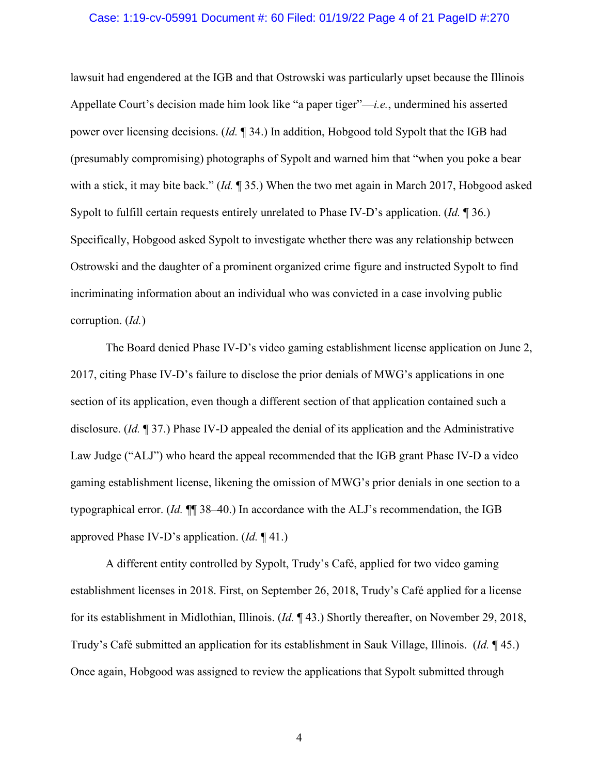#### Case: 1:19-cv-05991 Document #: 60 Filed: 01/19/22 Page 4 of 21 PageID #:270

lawsuit had engendered at the IGB and that Ostrowski was particularly upset because the Illinois Appellate Court's decision made him look like "a paper tiger"—*i.e.*, undermined his asserted power over licensing decisions. (*Id.* ¶ 34.) In addition, Hobgood told Sypolt that the IGB had (presumably compromising) photographs of Sypolt and warned him that "when you poke a bear with a stick, it may bite back." (*Id.* ¶ 35.) When the two met again in March 2017, Hobgood asked Sypolt to fulfill certain requests entirely unrelated to Phase IV-D's application. (*Id.* ¶ 36.) Specifically, Hobgood asked Sypolt to investigate whether there was any relationship between Ostrowski and the daughter of a prominent organized crime figure and instructed Sypolt to find incriminating information about an individual who was convicted in a case involving public corruption. (*Id.*)

The Board denied Phase IV-D's video gaming establishment license application on June 2, 2017, citing Phase IV-D's failure to disclose the prior denials of MWG's applications in one section of its application, even though a different section of that application contained such a disclosure. (*Id.* ¶ 37.) Phase IV-D appealed the denial of its application and the Administrative Law Judge ("ALJ") who heard the appeal recommended that the IGB grant Phase IV-D a video gaming establishment license, likening the omission of MWG's prior denials in one section to a typographical error. (*Id.* ¶¶ 38–40.) In accordance with the ALJ's recommendation, the IGB approved Phase IV-D's application. (*Id.* ¶ 41.)

A different entity controlled by Sypolt, Trudy's Café, applied for two video gaming establishment licenses in 2018. First, on September 26, 2018, Trudy's Café applied for a license for its establishment in Midlothian, Illinois. (*Id.* ¶ 43.) Shortly thereafter, on November 29, 2018, Trudy's Café submitted an application for its establishment in Sauk Village, Illinois. (*Id.* ¶ 45.) Once again, Hobgood was assigned to review the applications that Sypolt submitted through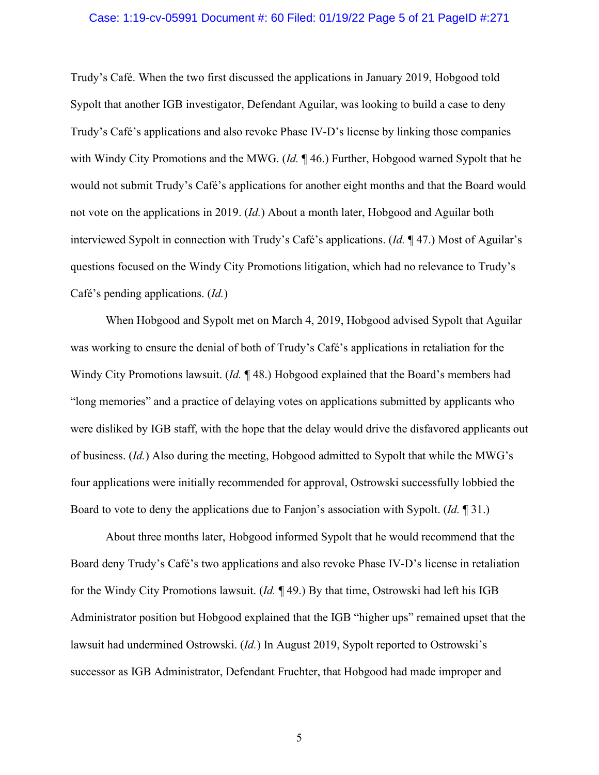#### Case: 1:19-cv-05991 Document #: 60 Filed: 01/19/22 Page 5 of 21 PageID #:271

Trudy's Café. When the two first discussed the applications in January 2019, Hobgood told Sypolt that another IGB investigator, Defendant Aguilar, was looking to build a case to deny Trudy's Café's applications and also revoke Phase IV-D's license by linking those companies with Windy City Promotions and the MWG. (*Id.* ¶ 46.) Further, Hobgood warned Sypolt that he would not submit Trudy's Café's applications for another eight months and that the Board would not vote on the applications in 2019. (*Id.*) About a month later, Hobgood and Aguilar both interviewed Sypolt in connection with Trudy's Café's applications. (*Id.* ¶ 47.) Most of Aguilar's questions focused on the Windy City Promotions litigation, which had no relevance to Trudy's Café's pending applications. (*Id.*)

When Hobgood and Sypolt met on March 4, 2019, Hobgood advised Sypolt that Aguilar was working to ensure the denial of both of Trudy's Café's applications in retaliation for the Windy City Promotions lawsuit. (*Id.* ¶ 48.) Hobgood explained that the Board's members had "long memories" and a practice of delaying votes on applications submitted by applicants who were disliked by IGB staff, with the hope that the delay would drive the disfavored applicants out of business. (*Id.*) Also during the meeting, Hobgood admitted to Sypolt that while the MWG's four applications were initially recommended for approval, Ostrowski successfully lobbied the Board to vote to deny the applications due to Fanjon's association with Sypolt. (*Id.* ¶ 31.)

About three months later, Hobgood informed Sypolt that he would recommend that the Board deny Trudy's Café's two applications and also revoke Phase IV-D's license in retaliation for the Windy City Promotions lawsuit. (*Id.* ¶ 49.) By that time, Ostrowski had left his IGB Administrator position but Hobgood explained that the IGB "higher ups" remained upset that the lawsuit had undermined Ostrowski. (*Id.*) In August 2019, Sypolt reported to Ostrowski's successor as IGB Administrator, Defendant Fruchter, that Hobgood had made improper and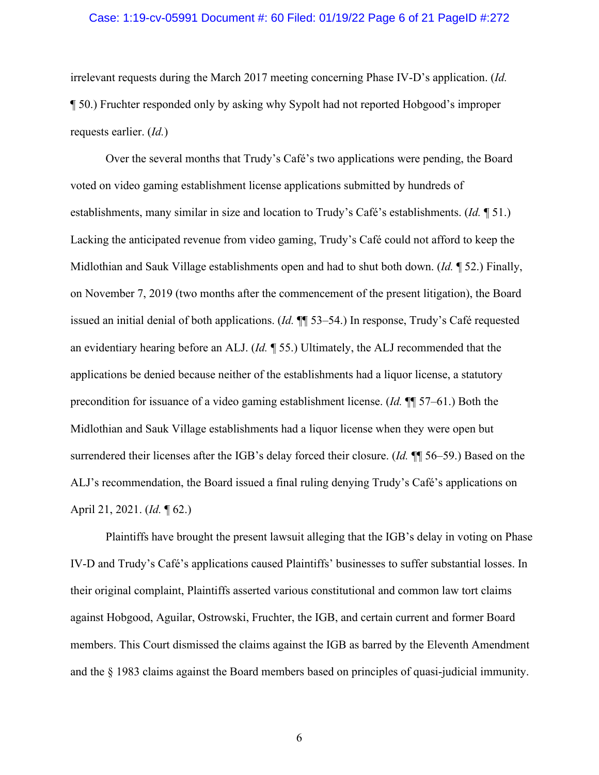#### Case: 1:19-cv-05991 Document #: 60 Filed: 01/19/22 Page 6 of 21 PageID #:272

irrelevant requests during the March 2017 meeting concerning Phase IV-D's application. (*Id.* ¶ 50.) Fruchter responded only by asking why Sypolt had not reported Hobgood's improper requests earlier. (*Id.*)

Over the several months that Trudy's Café's two applications were pending, the Board voted on video gaming establishment license applications submitted by hundreds of establishments, many similar in size and location to Trudy's Café's establishments. (*Id.* ¶ 51.) Lacking the anticipated revenue from video gaming, Trudy's Café could not afford to keep the Midlothian and Sauk Village establishments open and had to shut both down. (*Id.* ¶ 52.) Finally, on November 7, 2019 (two months after the commencement of the present litigation), the Board issued an initial denial of both applications. (*Id.* ¶¶ 53–54.) In response, Trudy's Café requested an evidentiary hearing before an ALJ. (*Id.* ¶ 55.) Ultimately, the ALJ recommended that the applications be denied because neither of the establishments had a liquor license, a statutory precondition for issuance of a video gaming establishment license. (*Id.* ¶¶ 57–61.) Both the Midlothian and Sauk Village establishments had a liquor license when they were open but surrendered their licenses after the IGB's delay forced their closure. (*Id.* ¶¶ 56–59.) Based on the ALJ's recommendation, the Board issued a final ruling denying Trudy's Café's applications on April 21, 2021. (*Id.* ¶ 62.)

Plaintiffs have brought the present lawsuit alleging that the IGB's delay in voting on Phase IV-D and Trudy's Café's applications caused Plaintiffs' businesses to suffer substantial losses. In their original complaint, Plaintiffs asserted various constitutional and common law tort claims against Hobgood, Aguilar, Ostrowski, Fruchter, the IGB, and certain current and former Board members. This Court dismissed the claims against the IGB as barred by the Eleventh Amendment and the § 1983 claims against the Board members based on principles of quasi-judicial immunity.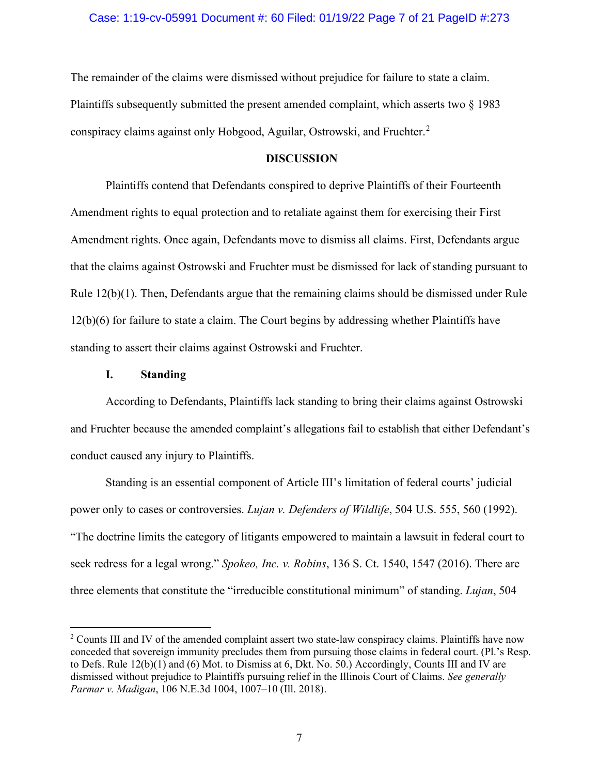The remainder of the claims were dismissed without prejudice for failure to state a claim. Plaintiffs subsequently submitted the present amended complaint, which asserts two § 1983 conspiracy claims against only Hobgood, Aguilar, Ostrowski, and Fruchter.<sup>[2](#page-6-0)</sup>

## **DISCUSSION**

Plaintiffs contend that Defendants conspired to deprive Plaintiffs of their Fourteenth Amendment rights to equal protection and to retaliate against them for exercising their First Amendment rights. Once again, Defendants move to dismiss all claims. First, Defendants argue that the claims against Ostrowski and Fruchter must be dismissed for lack of standing pursuant to Rule 12(b)(1). Then, Defendants argue that the remaining claims should be dismissed under Rule 12(b)(6) for failure to state a claim. The Court begins by addressing whether Plaintiffs have standing to assert their claims against Ostrowski and Fruchter.

### **I. Standing**

According to Defendants, Plaintiffs lack standing to bring their claims against Ostrowski and Fruchter because the amended complaint's allegations fail to establish that either Defendant's conduct caused any injury to Plaintiffs.

Standing is an essential component of Article III's limitation of federal courts' judicial power only to cases or controversies. *Lujan v. Defenders of Wildlife*, 504 U.S. 555, 560 (1992). "The doctrine limits the category of litigants empowered to maintain a lawsuit in federal court to seek redress for a legal wrong." *Spokeo, Inc. v. Robins*, 136 S. Ct. 1540, 1547 (2016). There are three elements that constitute the "irreducible constitutional minimum" of standing. *Lujan*, 504

<span id="page-6-0"></span><sup>&</sup>lt;sup>2</sup> Counts III and IV of the amended complaint assert two state-law conspiracy claims. Plaintiffs have now conceded that sovereign immunity precludes them from pursuing those claims in federal court. (Pl.'s Resp. to Defs. Rule 12(b)(1) and (6) Mot. to Dismiss at 6, Dkt. No. 50.) Accordingly, Counts III and IV are dismissed without prejudice to Plaintiffs pursuing relief in the Illinois Court of Claims. *See generally Parmar v. Madigan*, 106 N.E.3d 1004, 1007–10 (Ill. 2018).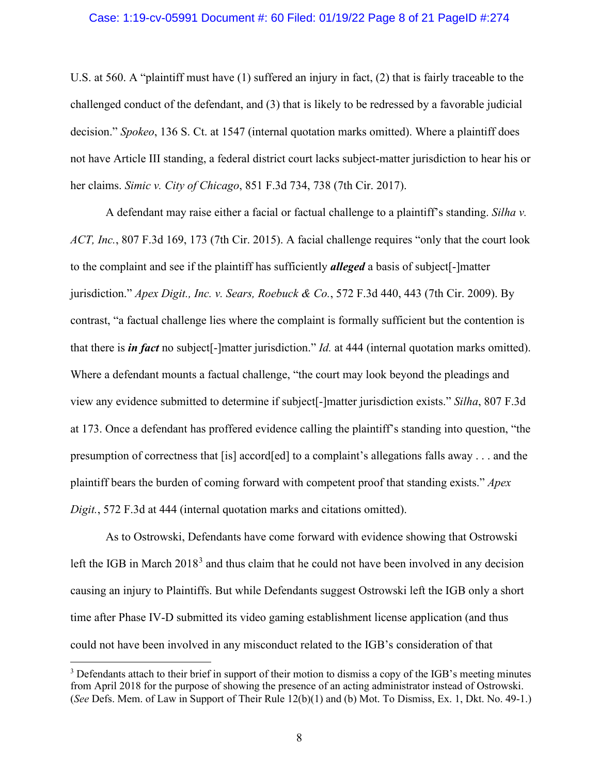#### Case: 1:19-cv-05991 Document #: 60 Filed: 01/19/22 Page 8 of 21 PageID #:274

U.S. at 560. A "plaintiff must have (1) suffered an injury in fact, (2) that is fairly traceable to the challenged conduct of the defendant, and (3) that is likely to be redressed by a favorable judicial decision." *Spokeo*, 136 S. Ct. at 1547 (internal quotation marks omitted). Where a plaintiff does not have Article III standing, a federal district court lacks subject-matter jurisdiction to hear his or her claims. *Simic v. City of Chicago*, 851 F.3d 734, 738 (7th Cir. 2017).

A defendant may raise either a facial or factual challenge to a plaintiff's standing. *Silha v. ACT, Inc.*, 807 F.3d 169, 173 (7th Cir. 2015). A facial challenge requires "only that the court look to the complaint and see if the plaintiff has sufficiently *alleged* a basis of subject[-]matter jurisdiction." *Apex Digit., Inc. v. Sears, Roebuck & Co.*, 572 F.3d 440, 443 (7th Cir. 2009). By contrast, "a factual challenge lies where the complaint is formally sufficient but the contention is that there is *in fact* no subject[-]matter jurisdiction." *Id.* at 444 (internal quotation marks omitted). Where a defendant mounts a factual challenge, "the court may look beyond the pleadings and view any evidence submitted to determine if subject[-]matter jurisdiction exists." *Silha*, 807 F.3d at 173. Once a defendant has proffered evidence calling the plaintiff's standing into question, "the presumption of correctness that [is] accord[ed] to a complaint's allegations falls away . . . and the plaintiff bears the burden of coming forward with competent proof that standing exists." *Apex Digit.*, 572 F.3d at 444 (internal quotation marks and citations omitted).

As to Ostrowski, Defendants have come forward with evidence showing that Ostrowski left the IGB in March  $2018<sup>3</sup>$  $2018<sup>3</sup>$  $2018<sup>3</sup>$  and thus claim that he could not have been involved in any decision causing an injury to Plaintiffs. But while Defendants suggest Ostrowski left the IGB only a short time after Phase IV-D submitted its video gaming establishment license application (and thus could not have been involved in any misconduct related to the IGB's consideration of that

<span id="page-7-0"></span><sup>&</sup>lt;sup>3</sup> Defendants attach to their brief in support of their motion to dismiss a copy of the IGB's meeting minutes from April 2018 for the purpose of showing the presence of an acting administrator instead of Ostrowski. (*See* Defs. Mem. of Law in Support of Their Rule 12(b)(1) and (b) Mot. To Dismiss, Ex. 1, Dkt. No. 49-1.)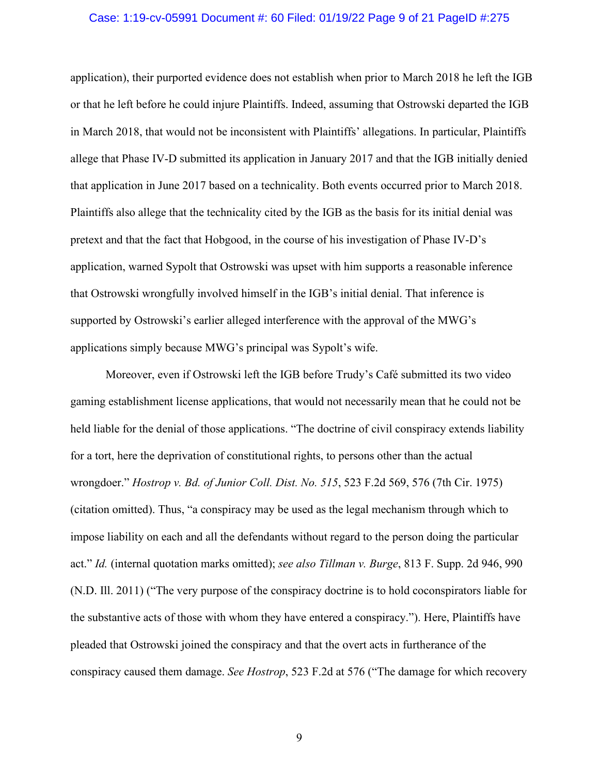#### Case: 1:19-cv-05991 Document #: 60 Filed: 01/19/22 Page 9 of 21 PageID #:275

application), their purported evidence does not establish when prior to March 2018 he left the IGB or that he left before he could injure Plaintiffs. Indeed, assuming that Ostrowski departed the IGB in March 2018, that would not be inconsistent with Plaintiffs' allegations. In particular, Plaintiffs allege that Phase IV-D submitted its application in January 2017 and that the IGB initially denied that application in June 2017 based on a technicality. Both events occurred prior to March 2018. Plaintiffs also allege that the technicality cited by the IGB as the basis for its initial denial was pretext and that the fact that Hobgood, in the course of his investigation of Phase IV-D's application, warned Sypolt that Ostrowski was upset with him supports a reasonable inference that Ostrowski wrongfully involved himself in the IGB's initial denial. That inference is supported by Ostrowski's earlier alleged interference with the approval of the MWG's applications simply because MWG's principal was Sypolt's wife.

Moreover, even if Ostrowski left the IGB before Trudy's Café submitted its two video gaming establishment license applications, that would not necessarily mean that he could not be held liable for the denial of those applications. "The doctrine of civil conspiracy extends liability for a tort, here the deprivation of constitutional rights, to persons other than the actual wrongdoer." *Hostrop v. Bd. of Junior Coll. Dist. No. 515*, 523 F.2d 569, 576 (7th Cir. 1975) (citation omitted). Thus, "a conspiracy may be used as the legal mechanism through which to impose liability on each and all the defendants without regard to the person doing the particular act." *Id.* (internal quotation marks omitted); *see also Tillman v. Burge*, 813 F. Supp. 2d 946, 990 (N.D. Ill. 2011) ("The very purpose of the conspiracy doctrine is to hold coconspirators liable for the substantive acts of those with whom they have entered a conspiracy."). Here, Plaintiffs have pleaded that Ostrowski joined the conspiracy and that the overt acts in furtherance of the conspiracy caused them damage. *See Hostrop*, 523 F.2d at 576 ("The damage for which recovery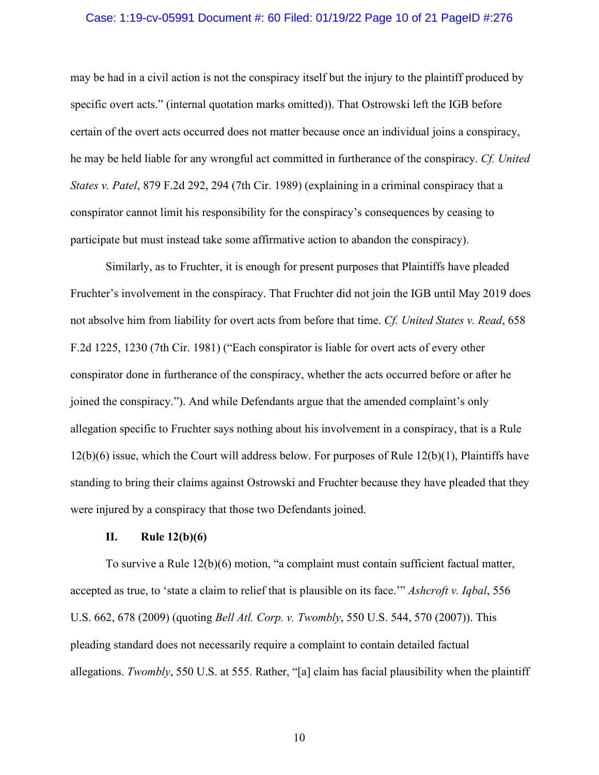#### Case: 1:19-cv-05991 Document #: 60 Filed: 01/19/22 Page 10 of 21 PageID #:276

may be had in a civil action is not the conspiracy itself but the injury to the plaintiff produced by specific overt acts." (internal quotation marks omitted)). That Ostrowski left the IGB before certain of the overt acts occurred does not matter because once an individual joins a conspiracy, he may be held liable for any wrongful act committed in furtherance of the conspiracy. *Cf. United States v. Patel*, 879 F.2d 292, 294 (7th Cir. 1989) (explaining in a criminal conspiracy that a conspirator cannot limit his responsibility for the conspiracy's consequences by ceasing to participate but must instead take some affirmative action to abandon the conspiracy).

Similarly, as to Fruchter, it is enough for present purposes that Plaintiffs have pleaded Fruchter's involvement in the conspiracy. That Fruchter did not join the IGB until May 2019 does not absolve him from liability for overt acts from before that time. *Cf. United States v. Read*, 658 F.2d 1225, 1230 (7th Cir. 1981) ("Each conspirator is liable for overt acts of every other conspirator done in furtherance of the conspiracy, whether the acts occurred before or after he joined the conspiracy."). And while Defendants argue that the amended complaint's only allegation specific to Fruchter says nothing about his involvement in a conspiracy, that is a Rule 12(b)(6) issue, which the Court will address below. For purposes of Rule 12(b)(1), Plaintiffs have standing to bring their claims against Ostrowski and Fruchter because they have pleaded that they were injured by a conspiracy that those two Defendants joined.

### **II. Rule 12(b)(6)**

To survive a Rule 12(b)(6) motion, "a complaint must contain sufficient factual matter, accepted as true, to 'state a claim to relief that is plausible on its face.'" *Ashcroft v. Iqbal*, 556 U.S. 662, 678 (2009) (quoting *Bell Atl. Corp. v. Twombly*, 550 U.S. 544, 570 (2007)). This pleading standard does not necessarily require a complaint to contain detailed factual allegations. *Twombly*, 550 U.S. at 555. Rather, "[a] claim has facial plausibility when the plaintiff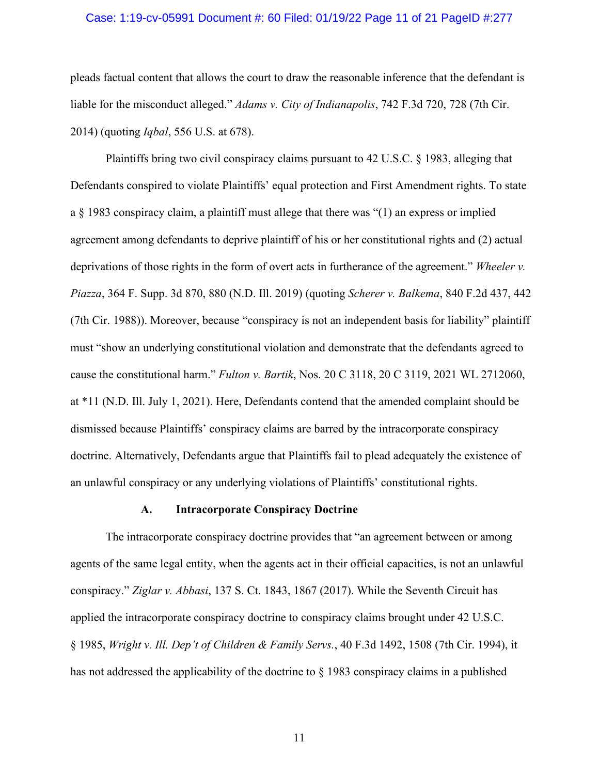#### Case: 1:19-cv-05991 Document #: 60 Filed: 01/19/22 Page 11 of 21 PageID #:277

pleads factual content that allows the court to draw the reasonable inference that the defendant is liable for the misconduct alleged." *Adams v. City of Indianapolis*, 742 F.3d 720, 728 (7th Cir. 2014) (quoting *Iqbal*, 556 U.S. at 678).

Plaintiffs bring two civil conspiracy claims pursuant to 42 U.S.C. § 1983, alleging that Defendants conspired to violate Plaintiffs' equal protection and First Amendment rights. To state a  $\S$  1983 conspiracy claim, a plaintiff must allege that there was "(1) an express or implied agreement among defendants to deprive plaintiff of his or her constitutional rights and (2) actual deprivations of those rights in the form of overt acts in furtherance of the agreement." *Wheeler v. Piazza*, 364 F. Supp. 3d 870, 880 (N.D. Ill. 2019) (quoting *Scherer v. Balkema*, 840 F.2d 437, 442 (7th Cir. 1988)). Moreover, because "conspiracy is not an independent basis for liability" plaintiff must "show an underlying constitutional violation and demonstrate that the defendants agreed to cause the constitutional harm." *Fulton v. Bartik*, Nos. 20 C 3118, 20 C 3119, 2021 WL 2712060, at \*11 (N.D. Ill. July 1, 2021). Here, Defendants contend that the amended complaint should be dismissed because Plaintiffs' conspiracy claims are barred by the intracorporate conspiracy doctrine. Alternatively, Defendants argue that Plaintiffs fail to plead adequately the existence of an unlawful conspiracy or any underlying violations of Plaintiffs' constitutional rights.

#### **A. Intracorporate Conspiracy Doctrine**

The intracorporate conspiracy doctrine provides that "an agreement between or among agents of the same legal entity, when the agents act in their official capacities, is not an unlawful conspiracy." *Ziglar v. Abbasi*, 137 S. Ct. 1843, 1867 (2017). While the Seventh Circuit has applied the intracorporate conspiracy doctrine to conspiracy claims brought under 42 U.S.C. § 1985, *Wright v. Ill. Dep't of Children & Family Servs.*, 40 F.3d 1492, 1508 (7th Cir. 1994), it has not addressed the applicability of the doctrine to § 1983 conspiracy claims in a published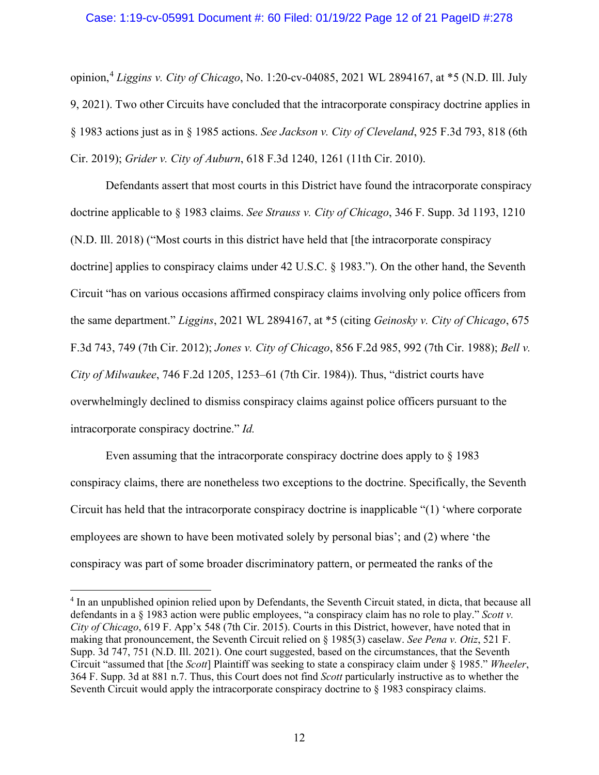## Case: 1:19-cv-05991 Document #: 60 Filed: 01/19/22 Page 12 of 21 PageID #:278

opinion, [4](#page-11-0) *Liggins v. City of Chicago*, No. 1:20-cv-04085, 2021 WL 2894167, at \*5 (N.D. Ill. July 9, 2021). Two other Circuits have concluded that the intracorporate conspiracy doctrine applies in § 1983 actions just as in § 1985 actions. *See Jackson v. City of Cleveland*, 925 F.3d 793, 818 (6th Cir. 2019); *Grider v. City of Auburn*, 618 F.3d 1240, 1261 (11th Cir. 2010).

Defendants assert that most courts in this District have found the intracorporate conspiracy doctrine applicable to § 1983 claims. *See Strauss v. City of Chicago*, 346 F. Supp. 3d 1193, 1210 (N.D. Ill. 2018) ("Most courts in this district have held that [the intracorporate conspiracy doctrine] applies to conspiracy claims under 42 U.S.C. § 1983."). On the other hand, the Seventh Circuit "has on various occasions affirmed conspiracy claims involving only police officers from the same department." *Liggins*, 2021 WL 2894167, at \*5 (citing *Geinosky v. City of Chicago*, 675 F.3d 743, 749 (7th Cir. 2012); *Jones v. City of Chicago*, 856 F.2d 985, 992 (7th Cir. 1988); *Bell v. City of Milwaukee*, 746 F.2d 1205, 1253–61 (7th Cir. 1984)). Thus, "district courts have overwhelmingly declined to dismiss conspiracy claims against police officers pursuant to the intracorporate conspiracy doctrine." *Id.*

Even assuming that the intracorporate conspiracy doctrine does apply to § 1983 conspiracy claims, there are nonetheless two exceptions to the doctrine. Specifically, the Seventh Circuit has held that the intracorporate conspiracy doctrine is inapplicable "(1) 'where corporate employees are shown to have been motivated solely by personal bias'; and (2) where 'the conspiracy was part of some broader discriminatory pattern, or permeated the ranks of the

<span id="page-11-0"></span><sup>4</sup> In an unpublished opinion relied upon by Defendants, the Seventh Circuit stated, in dicta, that because all defendants in a § 1983 action were public employees, "a conspiracy claim has no role to play." *Scott v. City of Chicago*, 619 F. App'x 548 (7th Cir. 2015). Courts in this District, however, have noted that in making that pronouncement, the Seventh Circuit relied on § 1985(3) caselaw. *See Pena v. Otiz*, 521 F. Supp. 3d 747, 751 (N.D. Ill. 2021). One court suggested, based on the circumstances, that the Seventh Circuit "assumed that [the *Scott*] Plaintiff was seeking to state a conspiracy claim under § 1985." *Wheeler*, 364 F. Supp. 3d at 881 n.7. Thus, this Court does not find *Scott* particularly instructive as to whether the Seventh Circuit would apply the intracorporate conspiracy doctrine to  $\S$  1983 conspiracy claims.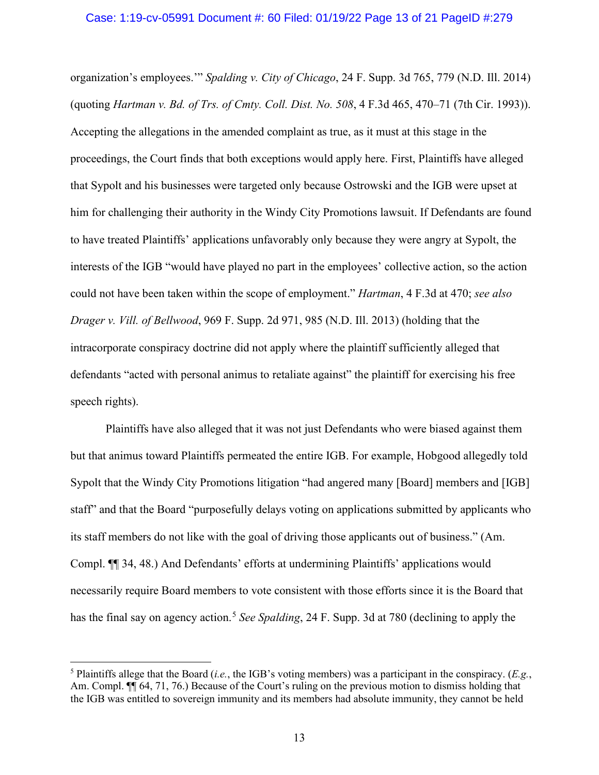#### Case: 1:19-cv-05991 Document #: 60 Filed: 01/19/22 Page 13 of 21 PageID #:279

organization's employees.'" *Spalding v. City of Chicago*, 24 F. Supp. 3d 765, 779 (N.D. Ill. 2014) (quoting *Hartman v. Bd. of Trs. of Cmty. Coll. Dist. No. 508*, 4 F.3d 465, 470–71 (7th Cir. 1993)). Accepting the allegations in the amended complaint as true, as it must at this stage in the proceedings, the Court finds that both exceptions would apply here. First, Plaintiffs have alleged that Sypolt and his businesses were targeted only because Ostrowski and the IGB were upset at him for challenging their authority in the Windy City Promotions lawsuit. If Defendants are found to have treated Plaintiffs' applications unfavorably only because they were angry at Sypolt, the interests of the IGB "would have played no part in the employees' collective action, so the action could not have been taken within the scope of employment." *Hartman*, 4 F.3d at 470; *see also Drager v. Vill. of Bellwood*, 969 F. Supp. 2d 971, 985 (N.D. Ill. 2013) (holding that the intracorporate conspiracy doctrine did not apply where the plaintiff sufficiently alleged that defendants "acted with personal animus to retaliate against" the plaintiff for exercising his free speech rights).

Plaintiffs have also alleged that it was not just Defendants who were biased against them but that animus toward Plaintiffs permeated the entire IGB. For example, Hobgood allegedly told Sypolt that the Windy City Promotions litigation "had angered many [Board] members and [IGB] staff" and that the Board "purposefully delays voting on applications submitted by applicants who its staff members do not like with the goal of driving those applicants out of business." (Am. Compl. ¶¶ 34, 48.) And Defendants' efforts at undermining Plaintiffs' applications would necessarily require Board members to vote consistent with those efforts since it is the Board that has the final say on agency action.<sup>[5](#page-12-0)</sup> *See Spalding*, 24 F. Supp. 3d at 780 (declining to apply the

<span id="page-12-0"></span><sup>5</sup> Plaintiffs allege that the Board (*i.e.*, the IGB's voting members) was a participant in the conspiracy. (*E.g.*, Am. Compl. ¶¶ 64, 71, 76.) Because of the Court's ruling on the previous motion to dismiss holding that the IGB was entitled to sovereign immunity and its members had absolute immunity, they cannot be held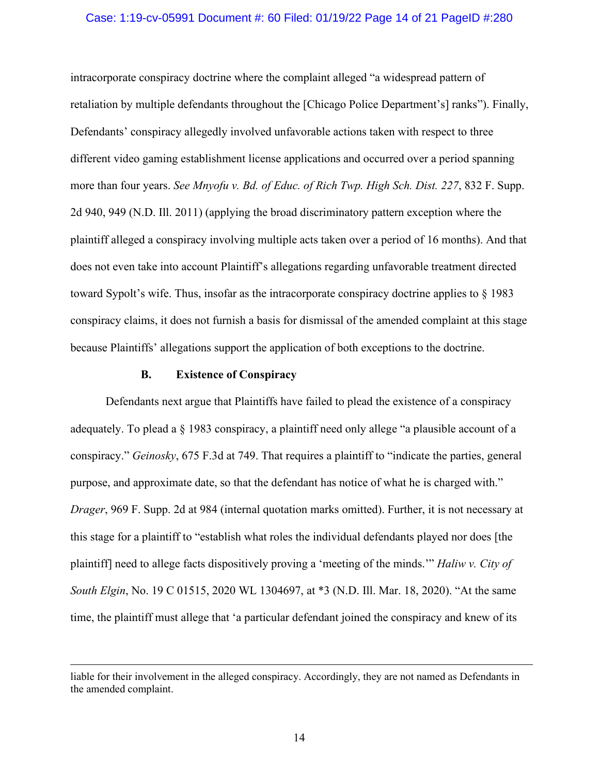#### Case: 1:19-cv-05991 Document #: 60 Filed: 01/19/22 Page 14 of 21 PageID #:280

intracorporate conspiracy doctrine where the complaint alleged "a widespread pattern of retaliation by multiple defendants throughout the [Chicago Police Department's] ranks"). Finally, Defendants' conspiracy allegedly involved unfavorable actions taken with respect to three different video gaming establishment license applications and occurred over a period spanning more than four years. *See Mnyofu v. Bd. of Educ. of Rich Twp. High Sch. Dist. 227*, 832 F. Supp. 2d 940, 949 (N.D. Ill. 2011) (applying the broad discriminatory pattern exception where the plaintiff alleged a conspiracy involving multiple acts taken over a period of 16 months). And that does not even take into account Plaintiff's allegations regarding unfavorable treatment directed toward Sypolt's wife. Thus, insofar as the intracorporate conspiracy doctrine applies to § 1983 conspiracy claims, it does not furnish a basis for dismissal of the amended complaint at this stage because Plaintiffs' allegations support the application of both exceptions to the doctrine.

#### **B. Existence of Conspiracy**

Defendants next argue that Plaintiffs have failed to plead the existence of a conspiracy adequately. To plead a § 1983 conspiracy, a plaintiff need only allege "a plausible account of a conspiracy." *Geinosky*, 675 F.3d at 749. That requires a plaintiff to "indicate the parties, general purpose, and approximate date, so that the defendant has notice of what he is charged with." *Drager*, 969 F. Supp. 2d at 984 (internal quotation marks omitted). Further, it is not necessary at this stage for a plaintiff to "establish what roles the individual defendants played nor does [the plaintiff] need to allege facts dispositively proving a 'meeting of the minds.'" *Haliw v. City of South Elgin*, No. 19 C 01515, 2020 WL 1304697, at \*3 (N.D. Ill. Mar. 18, 2020). "At the same time, the plaintiff must allege that 'a particular defendant joined the conspiracy and knew of its

liable for their involvement in the alleged conspiracy. Accordingly, they are not named as Defendants in the amended complaint.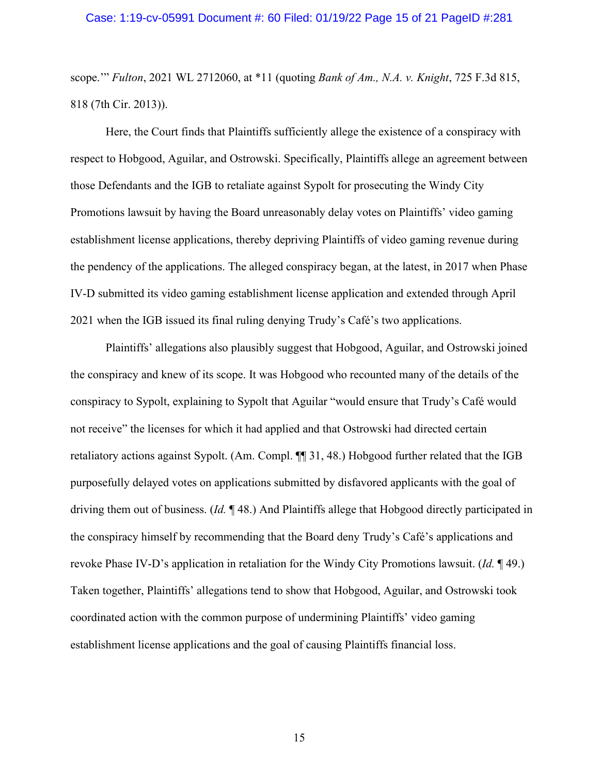scope.'" *Fulton*, 2021 WL 2712060, at \*11 (quoting *Bank of Am., N.A. v. Knight*, 725 F.3d 815, 818 (7th Cir. 2013)).

Here, the Court finds that Plaintiffs sufficiently allege the existence of a conspiracy with respect to Hobgood, Aguilar, and Ostrowski. Specifically, Plaintiffs allege an agreement between those Defendants and the IGB to retaliate against Sypolt for prosecuting the Windy City Promotions lawsuit by having the Board unreasonably delay votes on Plaintiffs' video gaming establishment license applications, thereby depriving Plaintiffs of video gaming revenue during the pendency of the applications. The alleged conspiracy began, at the latest, in 2017 when Phase IV-D submitted its video gaming establishment license application and extended through April 2021 when the IGB issued its final ruling denying Trudy's Café's two applications.

Plaintiffs' allegations also plausibly suggest that Hobgood, Aguilar, and Ostrowski joined the conspiracy and knew of its scope. It was Hobgood who recounted many of the details of the conspiracy to Sypolt, explaining to Sypolt that Aguilar "would ensure that Trudy's Café would not receive" the licenses for which it had applied and that Ostrowski had directed certain retaliatory actions against Sypolt. (Am. Compl. ¶¶ 31, 48.) Hobgood further related that the IGB purposefully delayed votes on applications submitted by disfavored applicants with the goal of driving them out of business. (*Id.* ¶ 48.) And Plaintiffs allege that Hobgood directly participated in the conspiracy himself by recommending that the Board deny Trudy's Café's applications and revoke Phase IV-D's application in retaliation for the Windy City Promotions lawsuit. (*Id.* ¶ 49.) Taken together, Plaintiffs' allegations tend to show that Hobgood, Aguilar, and Ostrowski took coordinated action with the common purpose of undermining Plaintiffs' video gaming establishment license applications and the goal of causing Plaintiffs financial loss.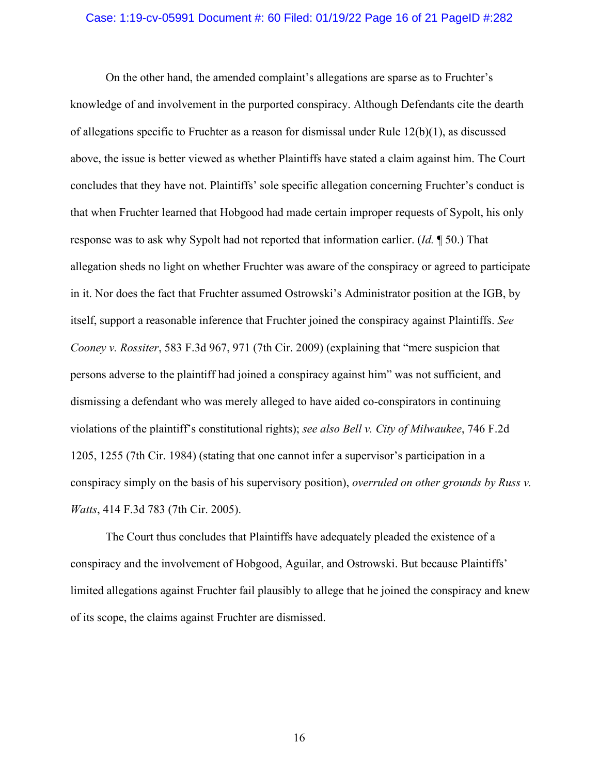#### Case: 1:19-cv-05991 Document #: 60 Filed: 01/19/22 Page 16 of 21 PageID #:282

On the other hand, the amended complaint's allegations are sparse as to Fruchter's knowledge of and involvement in the purported conspiracy. Although Defendants cite the dearth of allegations specific to Fruchter as a reason for dismissal under Rule  $12(b)(1)$ , as discussed above, the issue is better viewed as whether Plaintiffs have stated a claim against him. The Court concludes that they have not. Plaintiffs' sole specific allegation concerning Fruchter's conduct is that when Fruchter learned that Hobgood had made certain improper requests of Sypolt, his only response was to ask why Sypolt had not reported that information earlier. (*Id.* ¶ 50.) That allegation sheds no light on whether Fruchter was aware of the conspiracy or agreed to participate in it. Nor does the fact that Fruchter assumed Ostrowski's Administrator position at the IGB, by itself, support a reasonable inference that Fruchter joined the conspiracy against Plaintiffs. *See Cooney v. Rossiter*, 583 F.3d 967, 971 (7th Cir. 2009) (explaining that "mere suspicion that persons adverse to the plaintiff had joined a conspiracy against him" was not sufficient, and dismissing a defendant who was merely alleged to have aided co-conspirators in continuing violations of the plaintiff's constitutional rights); *see also Bell v. City of Milwaukee*, 746 F.2d 1205, 1255 (7th Cir. 1984) (stating that one cannot infer a supervisor's participation in a conspiracy simply on the basis of his supervisory position), *overruled on other grounds by Russ v. Watts*, 414 F.3d 783 (7th Cir. 2005).

The Court thus concludes that Plaintiffs have adequately pleaded the existence of a conspiracy and the involvement of Hobgood, Aguilar, and Ostrowski. But because Plaintiffs' limited allegations against Fruchter fail plausibly to allege that he joined the conspiracy and knew of its scope, the claims against Fruchter are dismissed.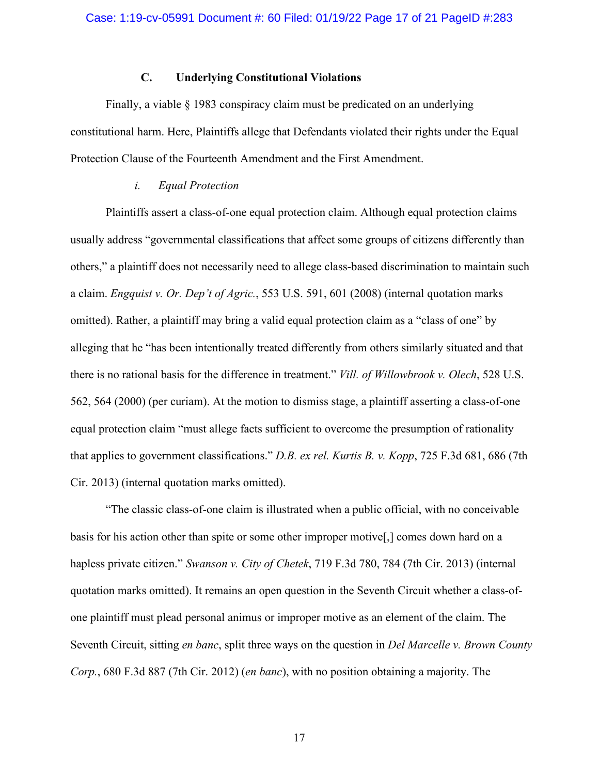## **C. Underlying Constitutional Violations**

Finally, a viable § 1983 conspiracy claim must be predicated on an underlying constitutional harm. Here, Plaintiffs allege that Defendants violated their rights under the Equal Protection Clause of the Fourteenth Amendment and the First Amendment.

## *i. Equal Protection*

Plaintiffs assert a class-of-one equal protection claim. Although equal protection claims usually address "governmental classifications that affect some groups of citizens differently than others," a plaintiff does not necessarily need to allege class-based discrimination to maintain such a claim. *Engquist v. Or. Dep't of Agric.*, 553 U.S. 591, 601 (2008) (internal quotation marks omitted). Rather, a plaintiff may bring a valid equal protection claim as a "class of one" by alleging that he "has been intentionally treated differently from others similarly situated and that there is no rational basis for the difference in treatment." *Vill. of Willowbrook v. Olech*, 528 U.S. 562, 564 (2000) (per curiam). At the motion to dismiss stage, a plaintiff asserting a class-of-one equal protection claim "must allege facts sufficient to overcome the presumption of rationality that applies to government classifications." *D.B. ex rel. Kurtis B. v. Kopp*, 725 F.3d 681, 686 (7th Cir. 2013) (internal quotation marks omitted).

"The classic class-of-one claim is illustrated when a public official, with no conceivable basis for his action other than spite or some other improper motive[,] comes down hard on a hapless private citizen." *Swanson v. City of Chetek*, 719 F.3d 780, 784 (7th Cir. 2013) (internal quotation marks omitted). It remains an open question in the Seventh Circuit whether a class-ofone plaintiff must plead personal animus or improper motive as an element of the claim. The Seventh Circuit, sitting *en banc*, split three ways on the question in *Del Marcelle v. Brown County Corp.*, 680 F.3d 887 (7th Cir. 2012) (*en banc*), with no position obtaining a majority. The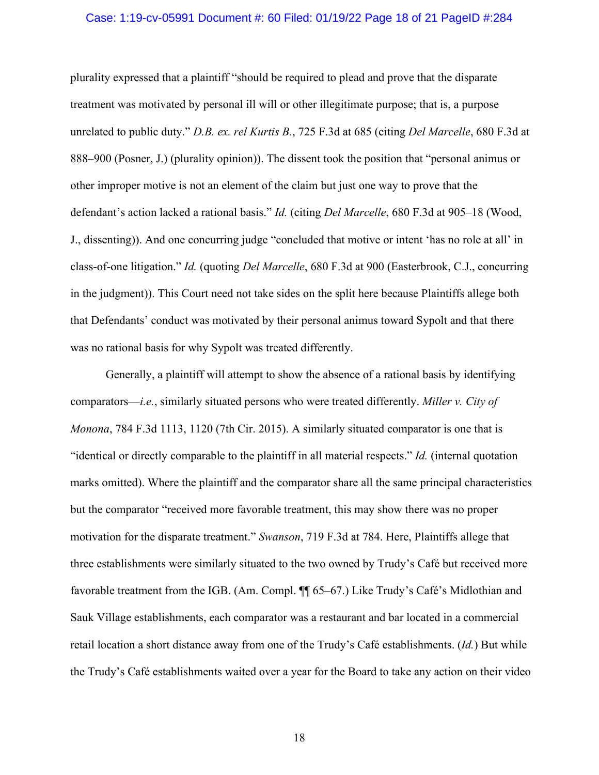#### Case: 1:19-cv-05991 Document #: 60 Filed: 01/19/22 Page 18 of 21 PageID #:284

plurality expressed that a plaintiff "should be required to plead and prove that the disparate treatment was motivated by personal ill will or other illegitimate purpose; that is, a purpose unrelated to public duty." *D.B. ex. rel Kurtis B.*, 725 F.3d at 685 (citing *Del Marcelle*, 680 F.3d at 888–900 (Posner, J.) (plurality opinion)). The dissent took the position that "personal animus or other improper motive is not an element of the claim but just one way to prove that the defendant's action lacked a rational basis." *Id.* (citing *Del Marcelle*, 680 F.3d at 905–18 (Wood, J., dissenting)). And one concurring judge "concluded that motive or intent 'has no role at all' in class-of-one litigation." *Id.* (quoting *Del Marcelle*, 680 F.3d at 900 (Easterbrook, C.J., concurring in the judgment)). This Court need not take sides on the split here because Plaintiffs allege both that Defendants' conduct was motivated by their personal animus toward Sypolt and that there was no rational basis for why Sypolt was treated differently.

Generally, a plaintiff will attempt to show the absence of a rational basis by identifying comparators—*i.e.*, similarly situated persons who were treated differently. *Miller v. City of Monona*, 784 F.3d 1113, 1120 (7th Cir. 2015). A similarly situated comparator is one that is "identical or directly comparable to the plaintiff in all material respects." *Id.* (internal quotation marks omitted). Where the plaintiff and the comparator share all the same principal characteristics but the comparator "received more favorable treatment, this may show there was no proper motivation for the disparate treatment." *Swanson*, 719 F.3d at 784. Here, Plaintiffs allege that three establishments were similarly situated to the two owned by Trudy's Café but received more favorable treatment from the IGB. (Am. Compl. ¶¶ 65–67.) Like Trudy's Café's Midlothian and Sauk Village establishments, each comparator was a restaurant and bar located in a commercial retail location a short distance away from one of the Trudy's Café establishments. (*Id.*) But while the Trudy's Café establishments waited over a year for the Board to take any action on their video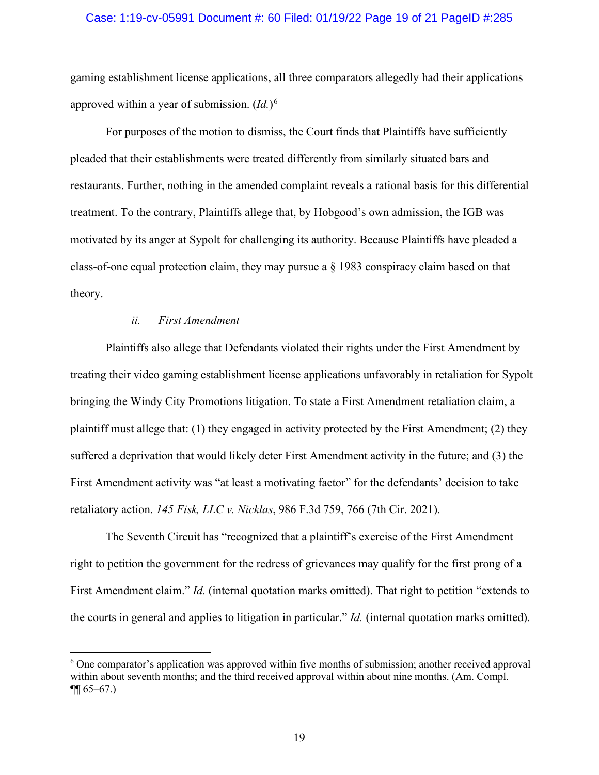#### Case: 1:19-cv-05991 Document #: 60 Filed: 01/19/22 Page 19 of 21 PageID #:285

gaming establishment license applications, all three comparators allegedly had their applications approved within a year of submission. (*Id.*) [6](#page-18-0)

For purposes of the motion to dismiss, the Court finds that Plaintiffs have sufficiently pleaded that their establishments were treated differently from similarly situated bars and restaurants. Further, nothing in the amended complaint reveals a rational basis for this differential treatment. To the contrary, Plaintiffs allege that, by Hobgood's own admission, the IGB was motivated by its anger at Sypolt for challenging its authority. Because Plaintiffs have pleaded a class-of-one equal protection claim, they may pursue a § 1983 conspiracy claim based on that theory.

### *ii. First Amendment*

Plaintiffs also allege that Defendants violated their rights under the First Amendment by treating their video gaming establishment license applications unfavorably in retaliation for Sypolt bringing the Windy City Promotions litigation. To state a First Amendment retaliation claim, a plaintiff must allege that: (1) they engaged in activity protected by the First Amendment; (2) they suffered a deprivation that would likely deter First Amendment activity in the future; and (3) the First Amendment activity was "at least a motivating factor" for the defendants' decision to take retaliatory action. *145 Fisk, LLC v. Nicklas*, 986 F.3d 759, 766 (7th Cir. 2021).

The Seventh Circuit has "recognized that a plaintiff's exercise of the First Amendment right to petition the government for the redress of grievances may qualify for the first prong of a First Amendment claim." *Id.* (internal quotation marks omitted). That right to petition "extends to the courts in general and applies to litigation in particular." *Id.* (internal quotation marks omitted).

<span id="page-18-0"></span><sup>6</sup> One comparator's application was approved within five months of submission; another received approval within about seventh months; and the third received approval within about nine months. (Am. Compl.  $\P\P$  65–67.)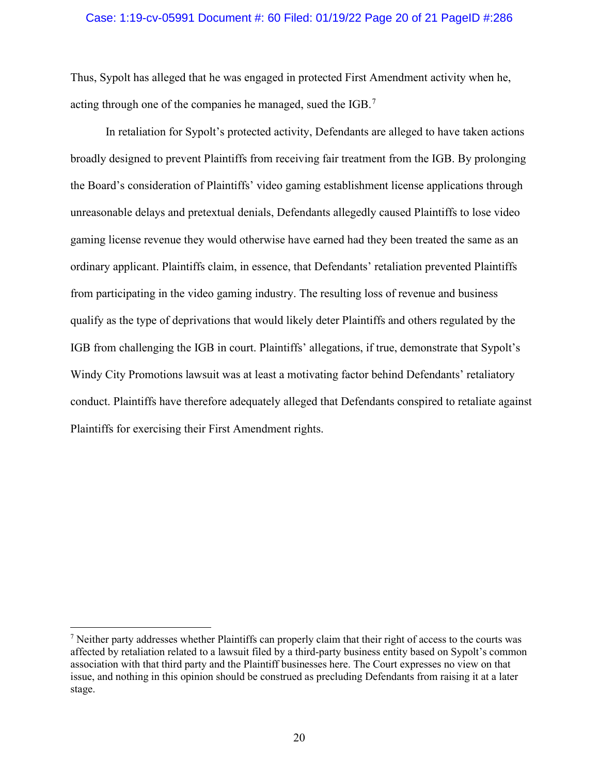#### Case: 1:19-cv-05991 Document #: 60 Filed: 01/19/22 Page 20 of 21 PageID #:286

Thus, Sypolt has alleged that he was engaged in protected First Amendment activity when he, acting through one of the companies he managed, sued the IGB.<sup>[7](#page-19-0)</sup>

In retaliation for Sypolt's protected activity, Defendants are alleged to have taken actions broadly designed to prevent Plaintiffs from receiving fair treatment from the IGB. By prolonging the Board's consideration of Plaintiffs' video gaming establishment license applications through unreasonable delays and pretextual denials, Defendants allegedly caused Plaintiffs to lose video gaming license revenue they would otherwise have earned had they been treated the same as an ordinary applicant. Plaintiffs claim, in essence, that Defendants' retaliation prevented Plaintiffs from participating in the video gaming industry. The resulting loss of revenue and business qualify as the type of deprivations that would likely deter Plaintiffs and others regulated by the IGB from challenging the IGB in court. Plaintiffs' allegations, if true, demonstrate that Sypolt's Windy City Promotions lawsuit was at least a motivating factor behind Defendants' retaliatory conduct. Plaintiffs have therefore adequately alleged that Defendants conspired to retaliate against Plaintiffs for exercising their First Amendment rights.

<span id="page-19-0"></span><sup>7</sup> Neither party addresses whether Plaintiffs can properly claim that their right of access to the courts was affected by retaliation related to a lawsuit filed by a third-party business entity based on Sypolt's common association with that third party and the Plaintiff businesses here. The Court expresses no view on that issue, and nothing in this opinion should be construed as precluding Defendants from raising it at a later stage.